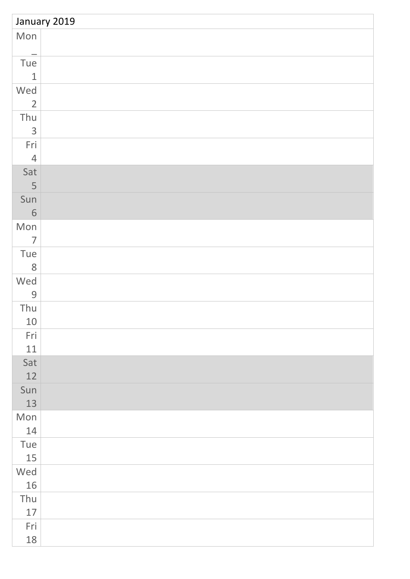| January 2019                                                                                                                                                                                                                                                                                                                                                                                                                                                  |  |  |
|---------------------------------------------------------------------------------------------------------------------------------------------------------------------------------------------------------------------------------------------------------------------------------------------------------------------------------------------------------------------------------------------------------------------------------------------------------------|--|--|
| Mon                                                                                                                                                                                                                                                                                                                                                                                                                                                           |  |  |
| -                                                                                                                                                                                                                                                                                                                                                                                                                                                             |  |  |
| Tue                                                                                                                                                                                                                                                                                                                                                                                                                                                           |  |  |
| $\mathbf{1}$                                                                                                                                                                                                                                                                                                                                                                                                                                                  |  |  |
| Wed                                                                                                                                                                                                                                                                                                                                                                                                                                                           |  |  |
| $\overline{2}$                                                                                                                                                                                                                                                                                                                                                                                                                                                |  |  |
| Thu                                                                                                                                                                                                                                                                                                                                                                                                                                                           |  |  |
| $\mathfrak{Z}$                                                                                                                                                                                                                                                                                                                                                                                                                                                |  |  |
| Fri                                                                                                                                                                                                                                                                                                                                                                                                                                                           |  |  |
| $\overline{4}$                                                                                                                                                                                                                                                                                                                                                                                                                                                |  |  |
| Sat                                                                                                                                                                                                                                                                                                                                                                                                                                                           |  |  |
| 5                                                                                                                                                                                                                                                                                                                                                                                                                                                             |  |  |
| Sun                                                                                                                                                                                                                                                                                                                                                                                                                                                           |  |  |
| 6                                                                                                                                                                                                                                                                                                                                                                                                                                                             |  |  |
| Mon                                                                                                                                                                                                                                                                                                                                                                                                                                                           |  |  |
| $\overline{7}$                                                                                                                                                                                                                                                                                                                                                                                                                                                |  |  |
| Tue                                                                                                                                                                                                                                                                                                                                                                                                                                                           |  |  |
| 8                                                                                                                                                                                                                                                                                                                                                                                                                                                             |  |  |
| Wed                                                                                                                                                                                                                                                                                                                                                                                                                                                           |  |  |
| $\mathcal{G}% =\mathcal{G}_{1}\mathcal{G}_{1}\mathcal{G}_{2}\mathcal{G}_{3}\mathcal{G}_{4} \mathcal{G}_{5} \mathcal{G}_{6} \mathcal{G}_{7} \mathcal{G}_{8} \mathcal{G}_{9} \mathcal{G}_{9} \mathcal{G}_{9} \mathcal{G}_{9} \mathcal{G}_{9} \mathcal{G}_{9} \mathcal{G}_{9} \mathcal{G}_{9} \mathcal{G}_{9} \mathcal{G}_{9} \mathcal{G}_{9} \mathcal{G}_{9} \mathcal{G}_{9} \mathcal{G}_{9} \mathcal{G}_{9} \mathcal{G}_{9} \mathcal{G}_{9} \mathcal{G}_{9} \$ |  |  |
| Thu                                                                                                                                                                                                                                                                                                                                                                                                                                                           |  |  |
| $10\,$                                                                                                                                                                                                                                                                                                                                                                                                                                                        |  |  |
| Fri                                                                                                                                                                                                                                                                                                                                                                                                                                                           |  |  |
| 11                                                                                                                                                                                                                                                                                                                                                                                                                                                            |  |  |
| Sat                                                                                                                                                                                                                                                                                                                                                                                                                                                           |  |  |
| $12$                                                                                                                                                                                                                                                                                                                                                                                                                                                          |  |  |
| Sun                                                                                                                                                                                                                                                                                                                                                                                                                                                           |  |  |
| 13                                                                                                                                                                                                                                                                                                                                                                                                                                                            |  |  |
| Mon                                                                                                                                                                                                                                                                                                                                                                                                                                                           |  |  |
| 14                                                                                                                                                                                                                                                                                                                                                                                                                                                            |  |  |
| Tue<br>15                                                                                                                                                                                                                                                                                                                                                                                                                                                     |  |  |
| Wed                                                                                                                                                                                                                                                                                                                                                                                                                                                           |  |  |
| $16\,$                                                                                                                                                                                                                                                                                                                                                                                                                                                        |  |  |
| Thu                                                                                                                                                                                                                                                                                                                                                                                                                                                           |  |  |
| $17\,$                                                                                                                                                                                                                                                                                                                                                                                                                                                        |  |  |
| Fri                                                                                                                                                                                                                                                                                                                                                                                                                                                           |  |  |
| 18                                                                                                                                                                                                                                                                                                                                                                                                                                                            |  |  |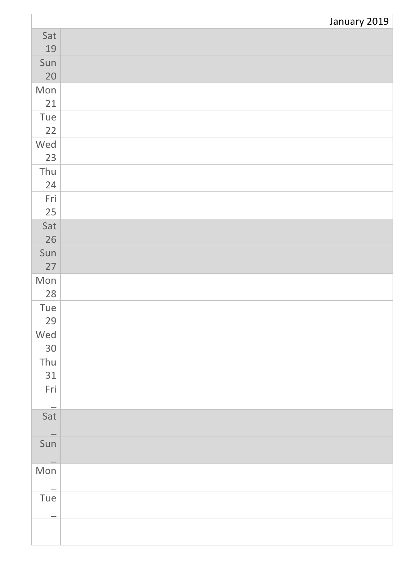|                                 | January 2019 |
|---------------------------------|--------------|
| Sat                             |              |
| 19                              |              |
| Sun                             |              |
| 20                              |              |
| Mon                             |              |
| 21                              |              |
| Tue                             |              |
| 22                              |              |
| Wed                             |              |
| 23<br>Thu                       |              |
| 24                              |              |
| Fri                             |              |
| 25                              |              |
| Sat                             |              |
| 26                              |              |
| Sun                             |              |
| 27                              |              |
| Mon                             |              |
| 28                              |              |
| Tue                             |              |
| 29<br>Wed                       |              |
| 30                              |              |
| Thu                             |              |
| 31                              |              |
| Fri                             |              |
| Sat                             |              |
|                                 |              |
| $\overline{\phantom{0}}$<br>Sun |              |
|                                 |              |
| Mon                             |              |
| Tue                             |              |
|                                 |              |
|                                 |              |
|                                 |              |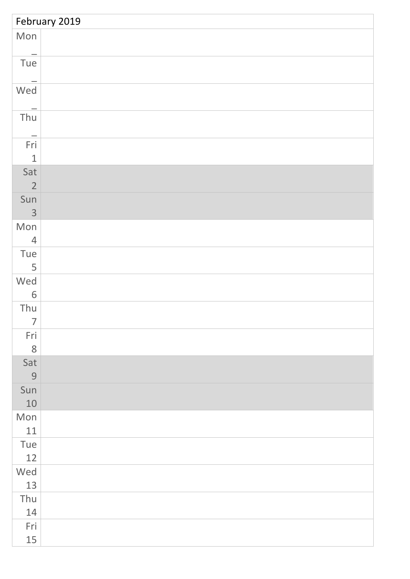| February 2019  |  |  |
|----------------|--|--|
| Mon            |  |  |
|                |  |  |
| Tue            |  |  |
|                |  |  |
| Wed            |  |  |
| Thu            |  |  |
|                |  |  |
| Fri            |  |  |
| $\mathbf{1}$   |  |  |
| Sat            |  |  |
| $\overline{2}$ |  |  |
| Sun            |  |  |
| 3              |  |  |
| Mon            |  |  |
| $\overline{4}$ |  |  |
| Tue            |  |  |
| 5              |  |  |
| Wed            |  |  |
| 6              |  |  |
| Thu            |  |  |
| $\overline{7}$ |  |  |
| Fri            |  |  |
| 8              |  |  |
| Sat            |  |  |
| 9              |  |  |
| Sun            |  |  |
| $10\,$         |  |  |
| Mon            |  |  |
| 11             |  |  |
| Tue<br>12      |  |  |
| Wed            |  |  |
| 13             |  |  |
| Thu            |  |  |
| 14             |  |  |
| Fri            |  |  |
| 15             |  |  |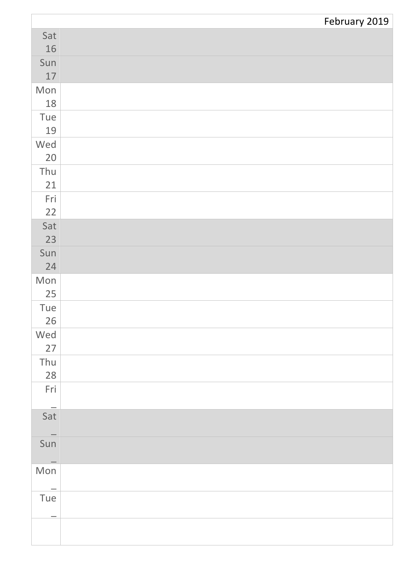|           | February 2019 |
|-----------|---------------|
| Sat       |               |
| 16        |               |
| Sun       |               |
| $17$      |               |
| Mon       |               |
| 18        |               |
| Tue       |               |
| 19        |               |
| Wed       |               |
| 20        |               |
| Thu       |               |
| 21        |               |
| Fri<br>22 |               |
| Sat       |               |
| 23        |               |
| Sun       |               |
| 24        |               |
| Mon       |               |
| 25        |               |
| Tue       |               |
| 26        |               |
| Wed<br>27 |               |
| Thu       |               |
| 28        |               |
| Fri       |               |
| Sat       |               |
|           |               |
| Sun       |               |
| Mon       |               |
|           |               |
| Tue       |               |
|           |               |
|           |               |
|           |               |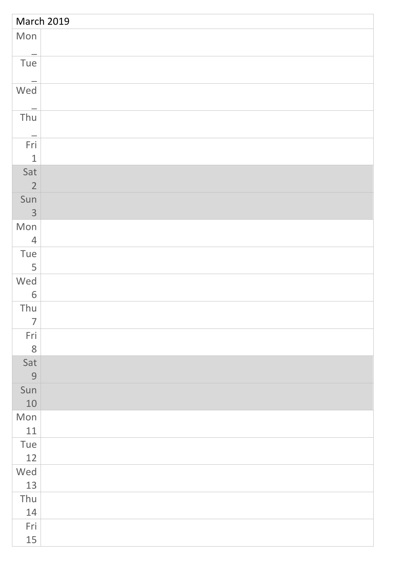|                          | <b>March 2019</b> |
|--------------------------|-------------------|
| Mon                      |                   |
| $\qquad \qquad$          |                   |
| Tue                      |                   |
| $\overline{\phantom{m}}$ |                   |
| Wed                      |                   |
|                          |                   |
| Thu                      |                   |
| $\overline{\phantom{0}}$ |                   |
| Fri                      |                   |
| $\mathbf{1}$             |                   |
| Sat                      |                   |
| $\overline{2}$           |                   |
| Sun                      |                   |
| $\mathfrak{Z}$           |                   |
| Mon                      |                   |
| $\overline{4}$           |                   |
| Tue                      |                   |
| 5                        |                   |
| Wed<br>6                 |                   |
| Thu                      |                   |
| $\overline{7}$           |                   |
| Fri                      |                   |
| 8                        |                   |
| Sat                      |                   |
| 9                        |                   |
| Sun                      |                   |
| $10\,$                   |                   |
| Mon                      |                   |
| 11                       |                   |
| Tue                      |                   |
| 12                       |                   |
| Wed                      |                   |
| 13                       |                   |
| Thu                      |                   |
| 14                       |                   |
| Fri                      |                   |
| 15                       |                   |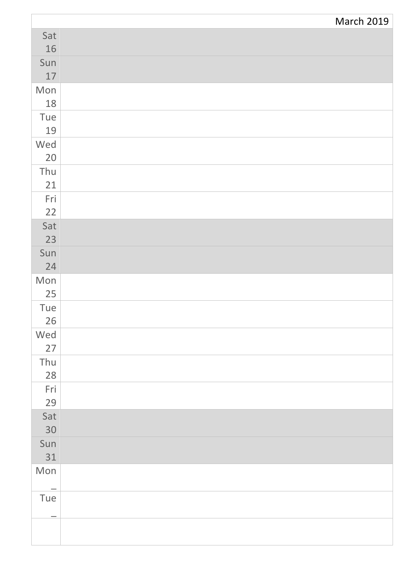|           | <b>March 2019</b> |
|-----------|-------------------|
| Sat       |                   |
| 16        |                   |
| Sun       |                   |
| 17        |                   |
| Mon       |                   |
| 18        |                   |
| Tue       |                   |
| 19        |                   |
| Wed       |                   |
| 20        |                   |
| Thu       |                   |
| 21        |                   |
| Fri       |                   |
| 22        |                   |
| Sat       |                   |
| 23        |                   |
| Sun       |                   |
| 24        |                   |
| Mon<br>25 |                   |
| Tue       |                   |
| 26        |                   |
| Wed       |                   |
| 27        |                   |
| Thu       |                   |
| 28        |                   |
| Fri       |                   |
| 29        |                   |
| Sat       |                   |
| 30        |                   |
| Sun       |                   |
| 31        |                   |
| Mon       |                   |
| Tue       |                   |
|           |                   |
|           |                   |
|           |                   |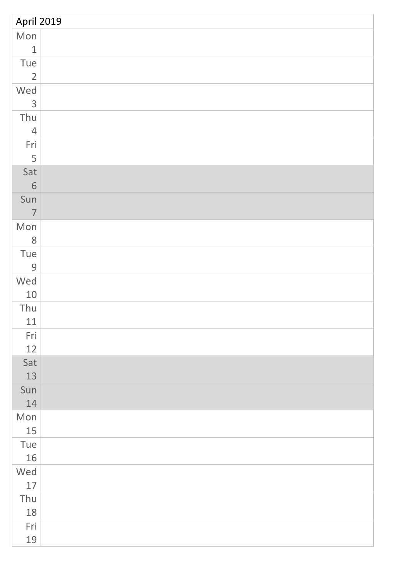| <b>April 2019</b>                                                                                                                                                                                                                                                                                                                                                                                                                                             |  |  |
|---------------------------------------------------------------------------------------------------------------------------------------------------------------------------------------------------------------------------------------------------------------------------------------------------------------------------------------------------------------------------------------------------------------------------------------------------------------|--|--|
| Mon                                                                                                                                                                                                                                                                                                                                                                                                                                                           |  |  |
| $\mathbf{1}$                                                                                                                                                                                                                                                                                                                                                                                                                                                  |  |  |
| Tue                                                                                                                                                                                                                                                                                                                                                                                                                                                           |  |  |
| $\overline{2}$                                                                                                                                                                                                                                                                                                                                                                                                                                                |  |  |
| Wed                                                                                                                                                                                                                                                                                                                                                                                                                                                           |  |  |
| $\mathfrak{Z}$                                                                                                                                                                                                                                                                                                                                                                                                                                                |  |  |
| Thu                                                                                                                                                                                                                                                                                                                                                                                                                                                           |  |  |
| $\overline{4}$                                                                                                                                                                                                                                                                                                                                                                                                                                                |  |  |
| Fri                                                                                                                                                                                                                                                                                                                                                                                                                                                           |  |  |
| 5                                                                                                                                                                                                                                                                                                                                                                                                                                                             |  |  |
| Sat                                                                                                                                                                                                                                                                                                                                                                                                                                                           |  |  |
| 6                                                                                                                                                                                                                                                                                                                                                                                                                                                             |  |  |
| Sun                                                                                                                                                                                                                                                                                                                                                                                                                                                           |  |  |
| $\overline{7}$                                                                                                                                                                                                                                                                                                                                                                                                                                                |  |  |
| Mon                                                                                                                                                                                                                                                                                                                                                                                                                                                           |  |  |
| 8                                                                                                                                                                                                                                                                                                                                                                                                                                                             |  |  |
| Tue                                                                                                                                                                                                                                                                                                                                                                                                                                                           |  |  |
| $\mathcal{G}% =\mathcal{G}_{1}\mathcal{G}_{1}\mathcal{G}_{2}\mathcal{G}_{3}\mathcal{G}_{4} \mathcal{G}_{5} \mathcal{G}_{6} \mathcal{G}_{7} \mathcal{G}_{8} \mathcal{G}_{9} \mathcal{G}_{9} \mathcal{G}_{9} \mathcal{G}_{9} \mathcal{G}_{9} \mathcal{G}_{9} \mathcal{G}_{9} \mathcal{G}_{9} \mathcal{G}_{9} \mathcal{G}_{9} \mathcal{G}_{9} \mathcal{G}_{9} \mathcal{G}_{9} \mathcal{G}_{9} \mathcal{G}_{9} \mathcal{G}_{9} \mathcal{G}_{9} \mathcal{G}_{9} \$ |  |  |
| Wed                                                                                                                                                                                                                                                                                                                                                                                                                                                           |  |  |
| $10\,$                                                                                                                                                                                                                                                                                                                                                                                                                                                        |  |  |
| Thu                                                                                                                                                                                                                                                                                                                                                                                                                                                           |  |  |
| $11\,$                                                                                                                                                                                                                                                                                                                                                                                                                                                        |  |  |
| Fri                                                                                                                                                                                                                                                                                                                                                                                                                                                           |  |  |
| 12                                                                                                                                                                                                                                                                                                                                                                                                                                                            |  |  |
| Sat                                                                                                                                                                                                                                                                                                                                                                                                                                                           |  |  |
| 13                                                                                                                                                                                                                                                                                                                                                                                                                                                            |  |  |
| Sun                                                                                                                                                                                                                                                                                                                                                                                                                                                           |  |  |
| 14                                                                                                                                                                                                                                                                                                                                                                                                                                                            |  |  |
| Mon                                                                                                                                                                                                                                                                                                                                                                                                                                                           |  |  |
| $15\,$                                                                                                                                                                                                                                                                                                                                                                                                                                                        |  |  |
| Tue                                                                                                                                                                                                                                                                                                                                                                                                                                                           |  |  |
| 16                                                                                                                                                                                                                                                                                                                                                                                                                                                            |  |  |
| Wed                                                                                                                                                                                                                                                                                                                                                                                                                                                           |  |  |
| $17\,$                                                                                                                                                                                                                                                                                                                                                                                                                                                        |  |  |
| Thu                                                                                                                                                                                                                                                                                                                                                                                                                                                           |  |  |
| 18                                                                                                                                                                                                                                                                                                                                                                                                                                                            |  |  |
| Fri                                                                                                                                                                                                                                                                                                                                                                                                                                                           |  |  |
| 19                                                                                                                                                                                                                                                                                                                                                                                                                                                            |  |  |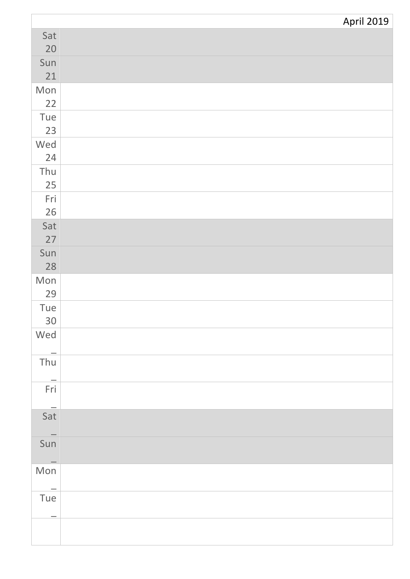|                                 | <b>April 2019</b> |
|---------------------------------|-------------------|
| Sat                             |                   |
| 20                              |                   |
| Sun                             |                   |
| 21                              |                   |
| Mon                             |                   |
| 22                              |                   |
| Tue                             |                   |
| 23                              |                   |
| Wed                             |                   |
| 24                              |                   |
| Thu                             |                   |
| 25                              |                   |
| Fri                             |                   |
| 26                              |                   |
| Sat                             |                   |
| 27                              |                   |
| Sun                             |                   |
| 28                              |                   |
| Mon<br>29                       |                   |
| Tue                             |                   |
| 30                              |                   |
| Wed                             |                   |
|                                 |                   |
| $\overline{\phantom{0}}$<br>Thu |                   |
|                                 |                   |
| Fri                             |                   |
|                                 |                   |
| Sat                             |                   |
| $\spadesuit$                    |                   |
| Sun                             |                   |
|                                 |                   |
| Mon                             |                   |
| $\overline{\phantom{0}}$        |                   |
| Tue                             |                   |
|                                 |                   |
|                                 |                   |
|                                 |                   |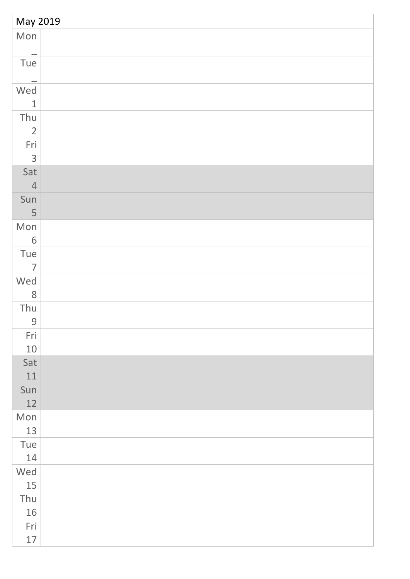| May 2019                        |  |  |
|---------------------------------|--|--|
| Mon                             |  |  |
| Tue                             |  |  |
| $\overline{\phantom{0}}$<br>Wed |  |  |
| $\mathbf{1}$                    |  |  |
| Thu                             |  |  |
| $\overline{2}$                  |  |  |
| Fri<br>3                        |  |  |
| Sat                             |  |  |
| $\overline{4}$                  |  |  |
| Sun<br>5                        |  |  |
| Mon                             |  |  |
| 6                               |  |  |
| Tue<br>$\overline{7}$           |  |  |
| Wed                             |  |  |
| $8\,$                           |  |  |
| Thu                             |  |  |
| $9\,$                           |  |  |
| Fri<br>10                       |  |  |
| Sat<br>$11\,$                   |  |  |
| Sun                             |  |  |
| $12$                            |  |  |
| Mon                             |  |  |
| 13                              |  |  |
| Tue                             |  |  |
| 14                              |  |  |
| Wed                             |  |  |
| 15                              |  |  |
| Thu                             |  |  |
| 16                              |  |  |
| Fri                             |  |  |
| $17\,$                          |  |  |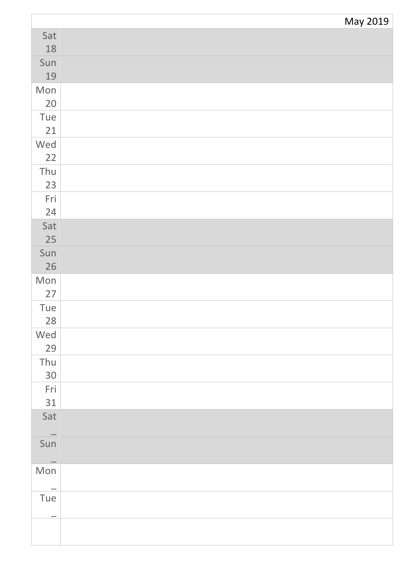|                   | May 2019 |
|-------------------|----------|
| Sat               |          |
| 18                |          |
| Sun               |          |
| 19                |          |
| Mon               |          |
| 20                |          |
| Tue               |          |
| 21                |          |
| Wed               |          |
| 22<br>Thu         |          |
| 23                |          |
| Fri               |          |
| 24                |          |
| Sat               |          |
| 25                |          |
| Sun               |          |
| 26                |          |
| Mon               |          |
| 27                |          |
| Tue               |          |
| 28                |          |
| Wed<br>29         |          |
| Thu               |          |
| 30                |          |
| Fri               |          |
| 31                |          |
| Sat               |          |
| $\qquad \qquad -$ |          |
| Sun               |          |
| Mon               |          |
|                   |          |
| Tue               |          |
|                   |          |
|                   |          |
|                   |          |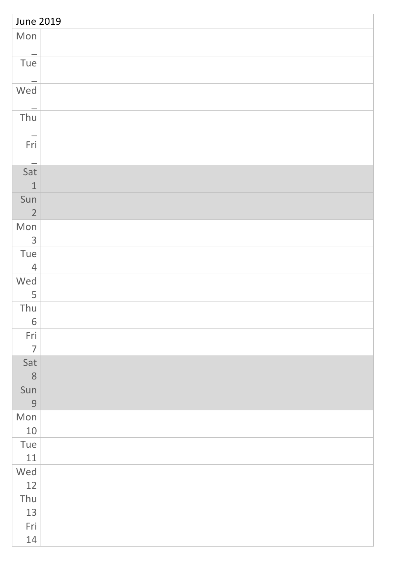| <b>June 2019</b>                                                                    |  |  |
|-------------------------------------------------------------------------------------|--|--|
| Mon<br>$\overline{\phantom{a}}$                                                     |  |  |
| Tue<br>$\hspace{0.1in} \hspace{0.1in} \hspace{0.1in} \hspace{0.1in} \hspace{0.1in}$ |  |  |
| Wed                                                                                 |  |  |
| Thu<br>$\equiv$                                                                     |  |  |
| Fri<br>$\hspace{0.1in} \hspace{0.1in} \hspace{0.1in} \hspace{0.1in} \hspace{0.1in}$ |  |  |
| Sat<br>$\,1\,$                                                                      |  |  |
| Sun<br>$\overline{2}$                                                               |  |  |
| Mon<br>3                                                                            |  |  |
| Tue<br>$\sqrt{4}$                                                                   |  |  |
| Wed<br>5                                                                            |  |  |
| Thu<br>$6\overline{6}$                                                              |  |  |
| Fri<br>$\overline{7}$                                                               |  |  |
| Sat<br>8                                                                            |  |  |
| Sun<br>9                                                                            |  |  |
| Mon<br>$10\,$                                                                       |  |  |
| Tue<br>11                                                                           |  |  |
| Wed<br>12                                                                           |  |  |
| Thu<br>13                                                                           |  |  |
| Fri<br>14                                                                           |  |  |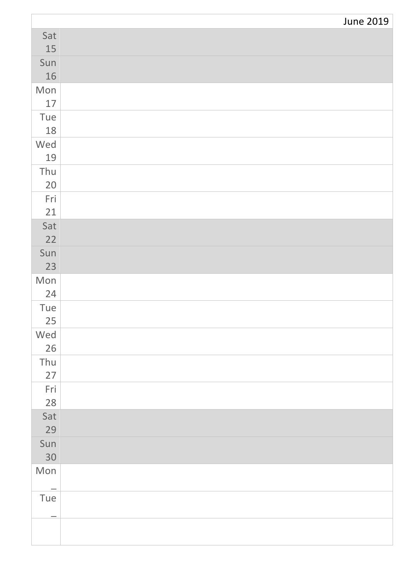|           | <b>June 2019</b> |
|-----------|------------------|
| Sat       |                  |
| 15        |                  |
| Sun       |                  |
| 16        |                  |
| Mon       |                  |
| 17        |                  |
| Tue       |                  |
| 18        |                  |
| Wed       |                  |
| 19        |                  |
| Thu       |                  |
| 20        |                  |
| Fri       |                  |
| 21        |                  |
| Sat       |                  |
| 22        |                  |
| Sun       |                  |
| 23        |                  |
| Mon       |                  |
| 24        |                  |
| Tue<br>25 |                  |
| Wed       |                  |
| 26        |                  |
| Thu       |                  |
| 27        |                  |
| Fri       |                  |
| 28        |                  |
| Sat       |                  |
| 29        |                  |
| Sun       |                  |
| 30        |                  |
| Mon       |                  |
| Tue       |                  |
|           |                  |
|           |                  |
|           |                  |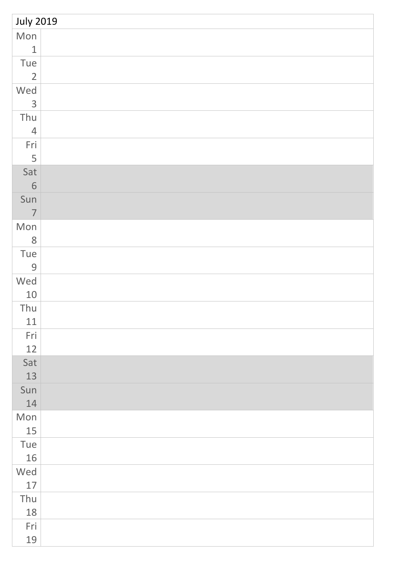| <b>July 2019</b> |  |  |
|------------------|--|--|
| Mon              |  |  |
| $\mathbf{1}$     |  |  |
| Tue              |  |  |
| $\overline{2}$   |  |  |
| Wed              |  |  |
| $\mathsf{3}$     |  |  |
| Thu              |  |  |
| $\overline{4}$   |  |  |
| Fri              |  |  |
| 5                |  |  |
| Sat              |  |  |
| 6                |  |  |
| Sun              |  |  |
| $\overline{7}$   |  |  |
| Mon              |  |  |
| 8                |  |  |
| Tue              |  |  |
| $\mathsf 9$      |  |  |
| Wed              |  |  |
| $10\,$           |  |  |
| Thu              |  |  |
| $11\,$           |  |  |
| Fri              |  |  |
| 12               |  |  |
| Sat              |  |  |
| 13               |  |  |
| Sun              |  |  |
| 14               |  |  |
| Mon              |  |  |
| 15               |  |  |
| Tue              |  |  |
| 16               |  |  |
| Wed              |  |  |
| $17\,$           |  |  |
| Thu              |  |  |
| 18               |  |  |
| Fri              |  |  |
| 19               |  |  |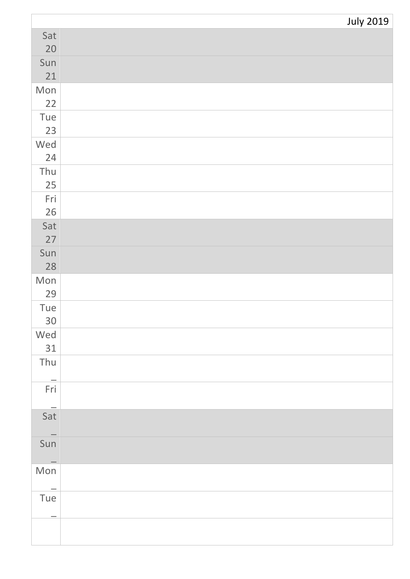|                          | <b>July 2019</b> |
|--------------------------|------------------|
| Sat                      |                  |
| 20                       |                  |
| Sun                      |                  |
| 21                       |                  |
| Mon                      |                  |
| 22                       |                  |
| Tue                      |                  |
| 23                       |                  |
| Wed                      |                  |
| 24                       |                  |
| Thu                      |                  |
| 25                       |                  |
| Fri                      |                  |
| 26                       |                  |
| Sat                      |                  |
| 27                       |                  |
| Sun                      |                  |
| 28                       |                  |
| Mon                      |                  |
| 29<br>Tue                |                  |
| 30                       |                  |
| Wed                      |                  |
| 31                       |                  |
| Thu                      |                  |
|                          |                  |
| Fri                      |                  |
|                          |                  |
| Sat                      |                  |
| $\overline{\phantom{0}}$ |                  |
| Sun                      |                  |
|                          |                  |
| Mon                      |                  |
|                          |                  |
| Tue                      |                  |
|                          |                  |
|                          |                  |
|                          |                  |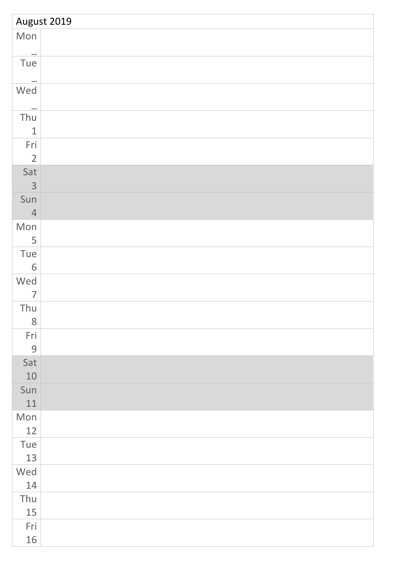| August 2019           |  |  |
|-----------------------|--|--|
| Mon                   |  |  |
| Tue                   |  |  |
| -<br>Wed              |  |  |
| Thu                   |  |  |
| $\mathbf 1$           |  |  |
| Fri<br>$\overline{2}$ |  |  |
| Sat<br>$\mathcal{S}$  |  |  |
| Sun<br>$\overline{4}$ |  |  |
| Mon<br>5              |  |  |
| Tue<br>6              |  |  |
| Wed<br>$\overline{7}$ |  |  |
| Thu<br>8              |  |  |
| Fri<br>9              |  |  |
| Sat<br>10             |  |  |
| Sun<br>$11\,$         |  |  |
| Mon<br>12             |  |  |
| Tue<br>13             |  |  |
| Wed<br>14             |  |  |
| Thu<br>15             |  |  |
| Fri<br>16             |  |  |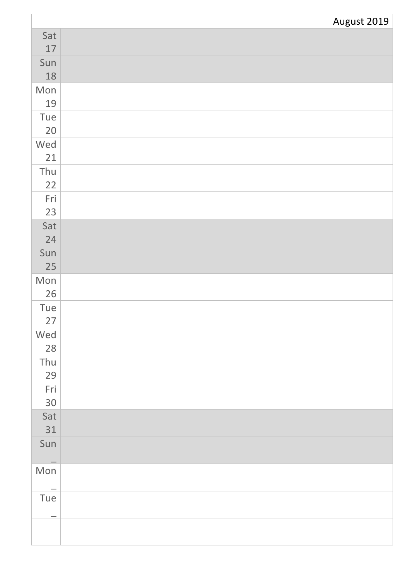|           | August 2019 |
|-----------|-------------|
| Sat       |             |
| $17\,$    |             |
| Sun       |             |
| 18        |             |
| Mon       |             |
| 19        |             |
| Tue       |             |
| 20        |             |
| Wed       |             |
| 21        |             |
| Thu       |             |
| 22        |             |
| Fri       |             |
| 23        |             |
| Sat       |             |
| 24        |             |
| Sun<br>25 |             |
| Mon       |             |
| 26        |             |
| Tue       |             |
| 27        |             |
| Wed       |             |
| 28        |             |
| Thu       |             |
| 29        |             |
| Fri       |             |
| 30        |             |
| Sat       |             |
| 31        |             |
| Sun       |             |
| Mon       |             |
|           |             |
| Tue       |             |
|           |             |
|           |             |
|           |             |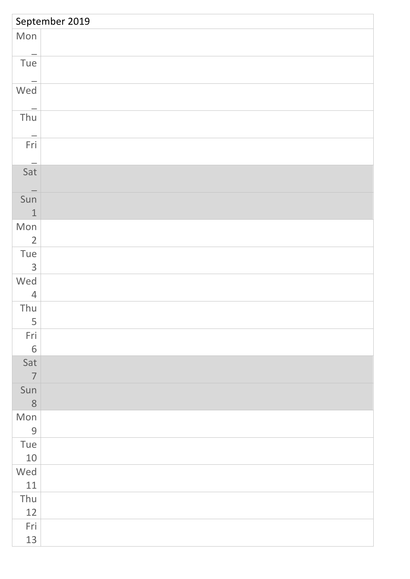| September 2019         |  |  |
|------------------------|--|--|
| Mon                    |  |  |
| Tue                    |  |  |
| Wed                    |  |  |
| Thu                    |  |  |
| Fri                    |  |  |
| Sat                    |  |  |
| Sun<br>$1\,$           |  |  |
| Mon<br>$\overline{2}$  |  |  |
| Tue<br>3               |  |  |
| Wed<br>$\overline{4}$  |  |  |
| Thu<br>$5\phantom{.0}$ |  |  |
| Fri<br>6               |  |  |
| Sat<br>$\overline{7}$  |  |  |
| Sun<br>8               |  |  |
| Mon<br>9               |  |  |
| Tue<br>10              |  |  |
| Wed<br>$11\,$          |  |  |
| Thu<br>12              |  |  |
| Fri<br>13              |  |  |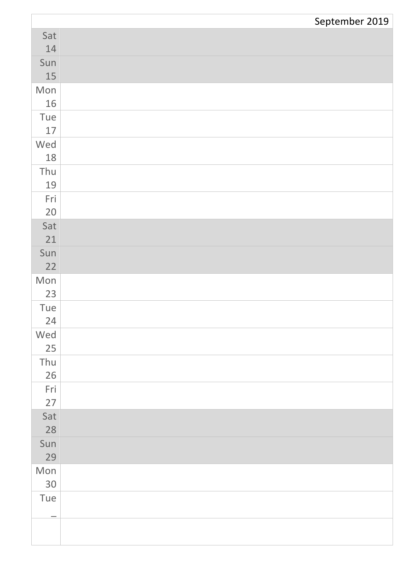|           | September 2019 |
|-----------|----------------|
| Sat       |                |
| 14        |                |
| Sun       |                |
| $15\,$    |                |
| Mon       |                |
| 16        |                |
| Tue       |                |
| $17$      |                |
| Wed       |                |
| 18        |                |
| Thu       |                |
| 19        |                |
| Fri       |                |
| 20        |                |
| Sat       |                |
| 21        |                |
| Sun       |                |
| 22        |                |
| Mon       |                |
| 23        |                |
| Tue       |                |
| 24        |                |
| Wed       |                |
| 25        |                |
| Thu       |                |
| 26        |                |
| Fri       |                |
| 27        |                |
| Sat       |                |
| 28        |                |
| Sun       |                |
| 29        |                |
| Mon<br>30 |                |
|           |                |
| Tue       |                |
|           |                |
|           |                |
|           |                |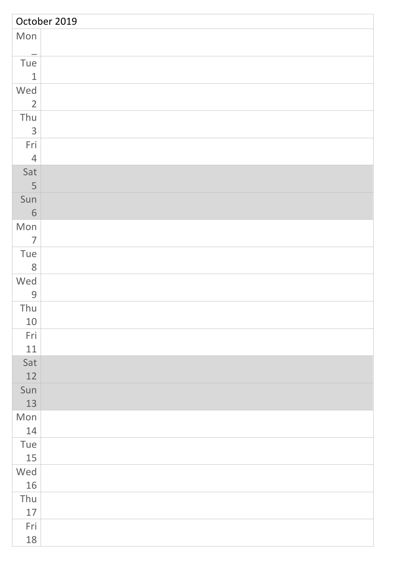| October 2019   |  |  |
|----------------|--|--|
| Mon            |  |  |
| -              |  |  |
| Tue            |  |  |
| $\mathbf{1}$   |  |  |
| Wed            |  |  |
| $\overline{2}$ |  |  |
| Thu            |  |  |
| $\mathsf{3}$   |  |  |
| Fri            |  |  |
| $\overline{4}$ |  |  |
| Sat            |  |  |
| 5              |  |  |
| Sun            |  |  |
| 6              |  |  |
| Mon            |  |  |
| $\overline{7}$ |  |  |
| Tue            |  |  |
| 8              |  |  |
| Wed            |  |  |
| $\overline{9}$ |  |  |
| Thu            |  |  |
| $10\,$         |  |  |
| Fri<br>$11\,$  |  |  |
| Sat            |  |  |
| 12             |  |  |
| Sun            |  |  |
| 13             |  |  |
| Mon            |  |  |
| 14             |  |  |
| Tue            |  |  |
| 15             |  |  |
| Wed            |  |  |
| 16             |  |  |
| Thu            |  |  |
| 17             |  |  |
| Fri            |  |  |
| 18             |  |  |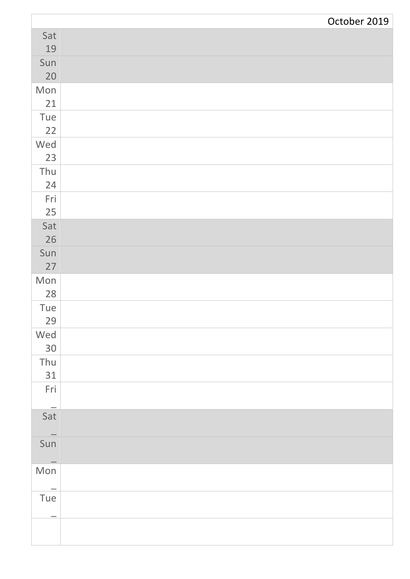|           | October 2019 |
|-----------|--------------|
| Sat       |              |
| 19        |              |
| Sun       |              |
| 20        |              |
| Mon       |              |
| 21        |              |
| Tue       |              |
| 22        |              |
| Wed       |              |
| 23        |              |
| Thu       |              |
| 24        |              |
| Fri       |              |
| 25        |              |
| Sat       |              |
| 26        |              |
| Sun       |              |
| 27        |              |
| Mon<br>28 |              |
| Tue       |              |
| 29        |              |
| Wed       |              |
| $30\,$    |              |
| Thu       |              |
| 31        |              |
| Fri       |              |
|           |              |
| Sat       |              |
|           |              |
| Sun       |              |
| Mon       |              |
|           |              |
| Tue       |              |
|           |              |
|           |              |
|           |              |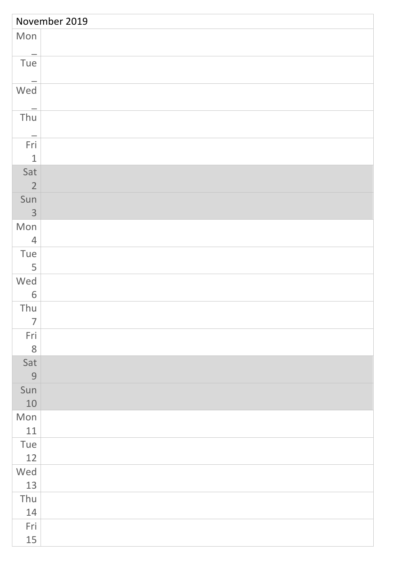| November 2019          |  |  |
|------------------------|--|--|
| Mon                    |  |  |
| Tue                    |  |  |
| Wed                    |  |  |
| Thu<br>$\qquad \qquad$ |  |  |
| Fri<br>$\mathbf 1$     |  |  |
| Sat<br>$\overline{2}$  |  |  |
| Sun<br>$\mathfrak{Z}$  |  |  |
| Mon<br>$\overline{4}$  |  |  |
| Tue<br>5               |  |  |
| Wed<br>6               |  |  |
| Thu<br>$\overline{7}$  |  |  |
| Fri<br>8               |  |  |
| Sat<br>9               |  |  |
| Sun<br>$10\,$          |  |  |
| Mon<br>11              |  |  |
| Tue<br>12              |  |  |
| Wed<br>13              |  |  |
| Thu<br>14              |  |  |
| Fri<br>15              |  |  |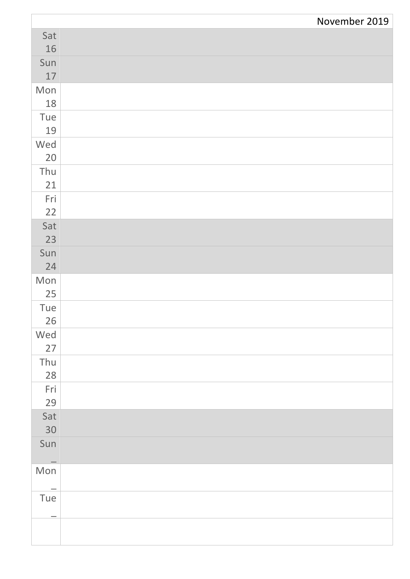|           | November 2019 |
|-----------|---------------|
| Sat       |               |
| 16        |               |
| Sun       |               |
| $17\,$    |               |
| Mon       |               |
| 18        |               |
| Tue       |               |
| 19        |               |
| Wed       |               |
| 20        |               |
| Thu       |               |
| 21        |               |
| Fri       |               |
| 22        |               |
| Sat       |               |
| 23        |               |
| Sun       |               |
| 24        |               |
| Mon       |               |
| 25        |               |
| Tue<br>26 |               |
| Wed       |               |
| 27        |               |
| Thu       |               |
| 28        |               |
| Fri       |               |
| 29        |               |
| Sat       |               |
| 30        |               |
| Sun       |               |
| Mon       |               |
|           |               |
| Tue       |               |
|           |               |
|           |               |
|           |               |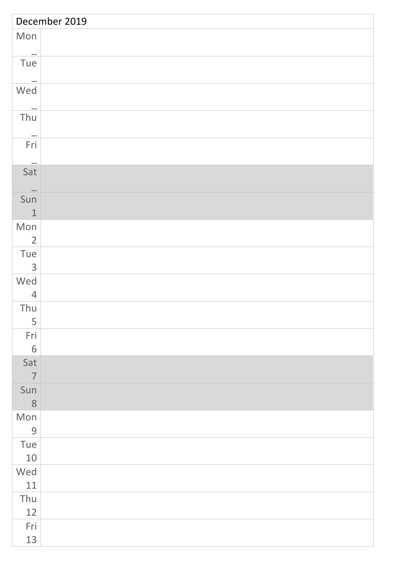| December 2019          |  |  |
|------------------------|--|--|
| Mon                    |  |  |
| Tue                    |  |  |
| $-$<br>Wed             |  |  |
| Thu                    |  |  |
| Fri                    |  |  |
| Sat                    |  |  |
| Sun<br>$1\,$           |  |  |
| Mon<br>$\overline{2}$  |  |  |
| Tue<br>$\mathsf{3}$    |  |  |
| Wed<br>$\overline{4}$  |  |  |
| Thu<br>$5\overline{5}$ |  |  |
| Fri<br>6               |  |  |
| Sat<br>$\overline{7}$  |  |  |
| Sun<br>8               |  |  |
| Mon<br>9               |  |  |
| Tue<br>10              |  |  |
| Wed<br>11              |  |  |
| Thu<br>12              |  |  |
| Fri<br>13              |  |  |